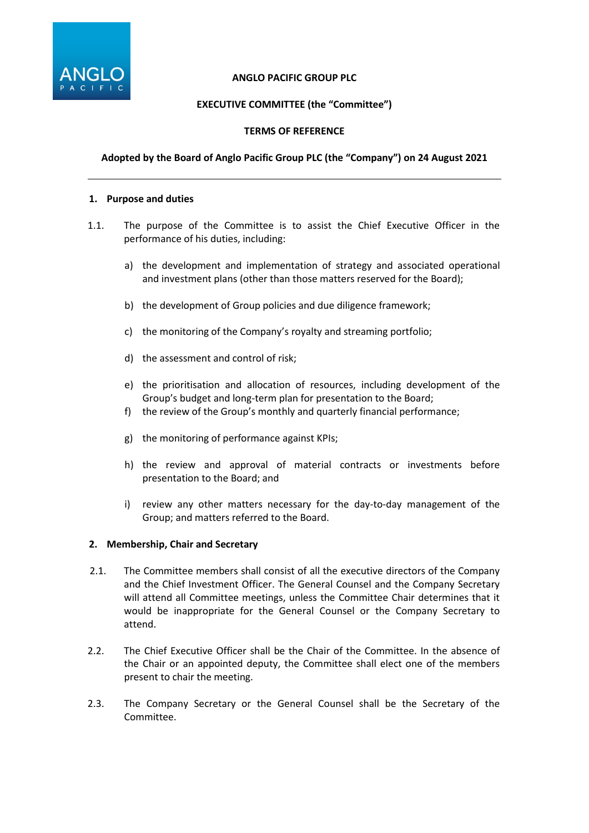

## **ANGLO PACIFIC GROUP PLC**

# **EXECUTIVE COMMITTEE (the "Committee")**

## **TERMS OF REFERENCE**

## **Adopted by the Board of Anglo Pacific Group PLC (the "Company") on 24 August 2021**

#### **1. Purpose and duties**

- 1.1. The purpose of the Committee is to assist the Chief Executive Officer in the performance of his duties, including:
	- a) the development and implementation of strategy and associated operational and investment plans (other than those matters reserved for the Board);
	- b) the development of Group policies and due diligence framework;
	- c) the monitoring of the Company's royalty and streaming portfolio;
	- d) the assessment and control of risk;
	- e) the prioritisation and allocation of resources, including development of the Group's budget and long-term plan for presentation to the Board;
	- f) the review of the Group's monthly and quarterly financial performance;
	- g) the monitoring of performance against KPIs;
	- h) the review and approval of material contracts or investments before presentation to the Board; and
	- i) review any other matters necessary for the day-to-day management of the Group; and matters referred to the Board.

### **2. Membership, Chair and Secretary**

- 2.1. The Committee members shall consist of all the executive directors of the Company and the Chief Investment Officer. The General Counsel and the Company Secretary will attend all Committee meetings, unless the Committee Chair determines that it would be inappropriate for the General Counsel or the Company Secretary to attend.
- 2.2. The Chief Executive Officer shall be the Chair of the Committee. In the absence of the Chair or an appointed deputy, the Committee shall elect one of the members present to chair the meeting.
- 2.3. The Company Secretary or the General Counsel shall be the Secretary of the Committee.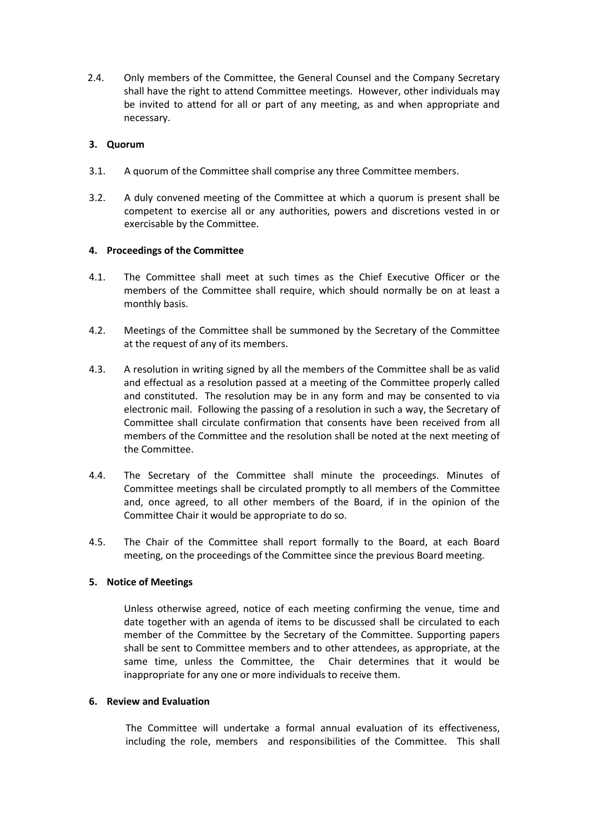2.4. Only members of the Committee, the General Counsel and the Company Secretary shall have the right to attend Committee meetings. However, other individuals may be invited to attend for all or part of any meeting, as and when appropriate and necessary.

## **3. Quorum**

- 3.1. A quorum of the Committee shall comprise any three Committee members.
- 3.2. A duly convened meeting of the Committee at which a quorum is present shall be competent to exercise all or any authorities, powers and discretions vested in or exercisable by the Committee.

### **4. Proceedings of the Committee**

- 4.1. The Committee shall meet at such times as the Chief Executive Officer or the members of the Committee shall require, which should normally be on at least a monthly basis.
- 4.2. Meetings of the Committee shall be summoned by the Secretary of the Committee at the request of any of its members.
- 4.3. A resolution in writing signed by all the members of the Committee shall be as valid and effectual as a resolution passed at a meeting of the Committee properly called and constituted. The resolution may be in any form and may be consented to via electronic mail. Following the passing of a resolution in such a way, the Secretary of Committee shall circulate confirmation that consents have been received from all members of the Committee and the resolution shall be noted at the next meeting of the Committee.
- 4.4. The Secretary of the Committee shall minute the proceedings. Minutes of Committee meetings shall be circulated promptly to all members of the Committee and, once agreed, to all other members of the Board, if in the opinion of the Committee Chair it would be appropriate to do so.
- 4.5. The Chair of the Committee shall report formally to the Board, at each Board meeting, on the proceedings of the Committee since the previous Board meeting.

### **5. Notice of Meetings**

Unless otherwise agreed, notice of each meeting confirming the venue, time and date together with an agenda of items to be discussed shall be circulated to each member of the Committee by the Secretary of the Committee. Supporting papers shall be sent to Committee members and to other attendees, as appropriate, at the same time, unless the Committee, the Chair determines that it would be inappropriate for any one or more individuals to receive them.

### **6. Review and Evaluation**

The Committee will undertake a formal annual evaluation of its effectiveness, including the role, members and responsibilities of the Committee. This shall